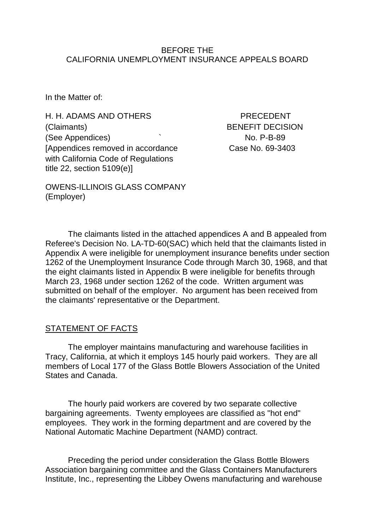#### BEFORE THE CALIFORNIA UNEMPLOYMENT INSURANCE APPEALS BOARD

In the Matter of:

H. H. ADAMS AND OTHERS PRECEDENT (Claimants) BENEFIT DECISION (See Appendices)  $\sim$  No. P-B-89 [Appendices removed in accordance Case No. 69-3403 with California Code of Regulations title 22, section 5109(e)]

OWENS-ILLINOIS GLASS COMPANY (Employer)

The claimants listed in the attached appendices A and B appealed from Referee's Decision No. LA-TD-60(SAC) which held that the claimants listed in Appendix A were ineligible for unemployment insurance benefits under section 1262 of the Unemployment Insurance Code through March 30, 1968, and that the eight claimants listed in Appendix B were ineligible for benefits through March 23, 1968 under section 1262 of the code. Written argument was submitted on behalf of the employer. No argument has been received from the claimants' representative or the Department.

#### STATEMENT OF FACTS

The employer maintains manufacturing and warehouse facilities in Tracy, California, at which it employs 145 hourly paid workers. They are all members of Local 177 of the Glass Bottle Blowers Association of the United States and Canada.

The hourly paid workers are covered by two separate collective bargaining agreements. Twenty employees are classified as "hot end" employees. They work in the forming department and are covered by the National Automatic Machine Department (NAMD) contract.

Preceding the period under consideration the Glass Bottle Blowers Association bargaining committee and the Glass Containers Manufacturers Institute, Inc., representing the Libbey Owens manufacturing and warehouse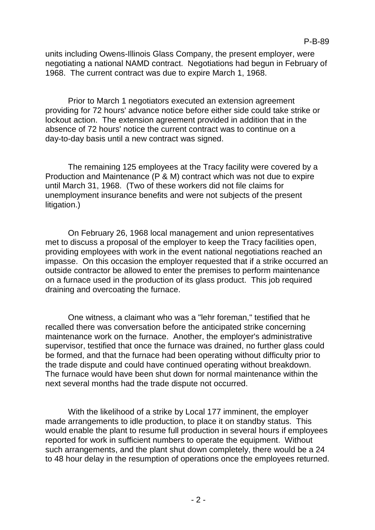units including Owens-Illinois Glass Company, the present employer, were negotiating a national NAMD contract. Negotiations had begun in February of 1968. The current contract was due to expire March 1, 1968.

Prior to March 1 negotiators executed an extension agreement providing for 72 hours' advance notice before either side could take strike or lockout action. The extension agreement provided in addition that in the absence of 72 hours' notice the current contract was to continue on a day-to-day basis until a new contract was signed.

The remaining 125 employees at the Tracy facility were covered by a Production and Maintenance (P & M) contract which was not due to expire until March 31, 1968. (Two of these workers did not file claims for unemployment insurance benefits and were not subjects of the present litigation.)

On February 26, 1968 local management and union representatives met to discuss a proposal of the employer to keep the Tracy facilities open, providing employees with work in the event national negotiations reached an impasse. On this occasion the employer requested that if a strike occurred an outside contractor be allowed to enter the premises to perform maintenance on a furnace used in the production of its glass product. This job required draining and overcoating the furnace.

One witness, a claimant who was a "lehr foreman," testified that he recalled there was conversation before the anticipated strike concerning maintenance work on the furnace. Another, the employer's administrative supervisor, testified that once the furnace was drained, no further glass could be formed, and that the furnace had been operating without difficulty prior to the trade dispute and could have continued operating without breakdown. The furnace would have been shut down for normal maintenance within the next several months had the trade dispute not occurred.

With the likelihood of a strike by Local 177 imminent, the employer made arrangements to idle production, to place it on standby status. This would enable the plant to resume full production in several hours if employees reported for work in sufficient numbers to operate the equipment. Without such arrangements, and the plant shut down completely, there would be a 24 to 48 hour delay in the resumption of operations once the employees returned.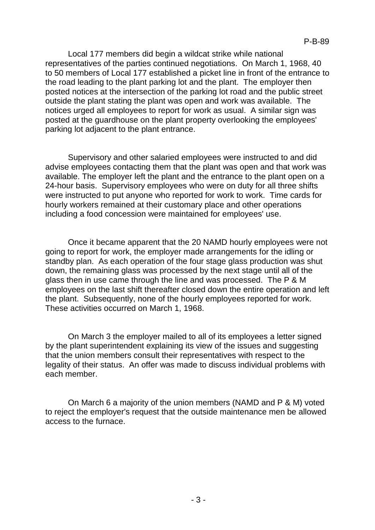Local 177 members did begin a wildcat strike while national representatives of the parties continued negotiations. On March 1, 1968, 40 to 50 members of Local 177 established a picket line in front of the entrance to the road leading to the plant parking lot and the plant. The employer then posted notices at the intersection of the parking lot road and the public street outside the plant stating the plant was open and work was available. The notices urged all employees to report for work as usual. A similar sign was posted at the guardhouse on the plant property overlooking the employees' parking lot adjacent to the plant entrance.

Supervisory and other salaried employees were instructed to and did advise employees contacting them that the plant was open and that work was available. The employer left the plant and the entrance to the plant open on a 24-hour basis. Supervisory employees who were on duty for all three shifts were instructed to put anyone who reported for work to work. Time cards for hourly workers remained at their customary place and other operations including a food concession were maintained for employees' use.

Once it became apparent that the 20 NAMD hourly employees were not going to report for work, the employer made arrangements for the idling or standby plan. As each operation of the four stage glass production was shut down, the remaining glass was processed by the next stage until all of the glass then in use came through the line and was processed. The P & M employees on the last shift thereafter closed down the entire operation and left the plant. Subsequently, none of the hourly employees reported for work. These activities occurred on March 1, 1968.

On March 3 the employer mailed to all of its employees a letter signed by the plant superintendent explaining its view of the issues and suggesting that the union members consult their representatives with respect to the legality of their status. An offer was made to discuss individual problems with each member.

On March 6 a majority of the union members (NAMD and P & M) voted to reject the employer's request that the outside maintenance men be allowed access to the furnace.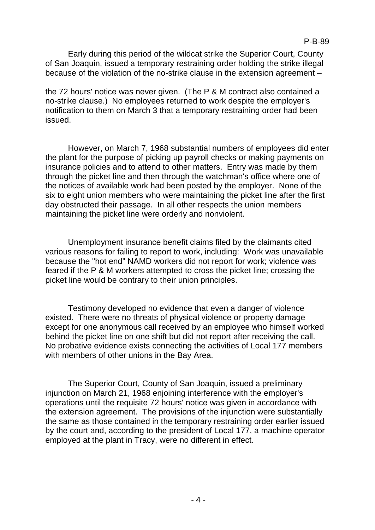P-B-89

Early during this period of the wildcat strike the Superior Court, County of San Joaquin, issued a temporary restraining order holding the strike illegal because of the violation of the no-strike clause in the extension agreement –

the 72 hours' notice was never given. (The P & M contract also contained a no-strike clause.) No employees returned to work despite the employer's notification to them on March 3 that a temporary restraining order had been issued.

However, on March 7, 1968 substantial numbers of employees did enter the plant for the purpose of picking up payroll checks or making payments on insurance policies and to attend to other matters. Entry was made by them through the picket line and then through the watchman's office where one of the notices of available work had been posted by the employer. None of the six to eight union members who were maintaining the picket line after the first day obstructed their passage. In all other respects the union members maintaining the picket line were orderly and nonviolent.

Unemployment insurance benefit claims filed by the claimants cited various reasons for failing to report to work, including: Work was unavailable because the "hot end" NAMD workers did not report for work; violence was feared if the P & M workers attempted to cross the picket line; crossing the picket line would be contrary to their union principles.

Testimony developed no evidence that even a danger of violence existed. There were no threats of physical violence or property damage except for one anonymous call received by an employee who himself worked behind the picket line on one shift but did not report after receiving the call. No probative evidence exists connecting the activities of Local 177 members with members of other unions in the Bay Area.

The Superior Court, County of San Joaquin, issued a preliminary injunction on March 21, 1968 enjoining interference with the employer's operations until the requisite 72 hours' notice was given in accordance with the extension agreement. The provisions of the injunction were substantially the same as those contained in the temporary restraining order earlier issued by the court and, according to the president of Local 177, a machine operator employed at the plant in Tracy, were no different in effect.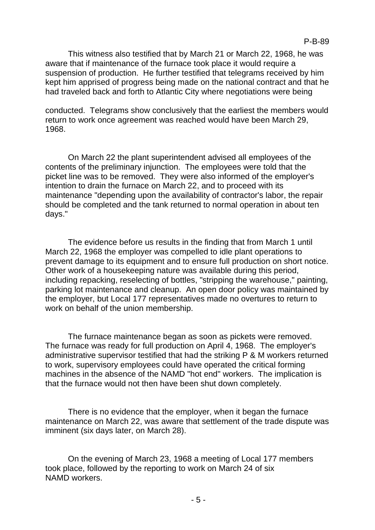This witness also testified that by March 21 or March 22, 1968, he was aware that if maintenance of the furnace took place it would require a suspension of production. He further testified that telegrams received by him kept him apprised of progress being made on the national contract and that he had traveled back and forth to Atlantic City where negotiations were being

conducted. Telegrams show conclusively that the earliest the members would return to work once agreement was reached would have been March 29, 1968.

On March 22 the plant superintendent advised all employees of the contents of the preliminary injunction. The employees were told that the picket line was to be removed. They were also informed of the employer's intention to drain the furnace on March 22, and to proceed with its maintenance "depending upon the availability of contractor's labor, the repair should be completed and the tank returned to normal operation in about ten days."

The evidence before us results in the finding that from March 1 until March 22, 1968 the employer was compelled to idle plant operations to prevent damage to its equipment and to ensure full production on short notice. Other work of a housekeeping nature was available during this period, including repacking, reselecting of bottles, "stripping the warehouse," painting, parking lot maintenance and cleanup. An open door policy was maintained by the employer, but Local 177 representatives made no overtures to return to work on behalf of the union membership.

The furnace maintenance began as soon as pickets were removed. The furnace was ready for full production on April 4, 1968. The employer's administrative supervisor testified that had the striking P & M workers returned to work, supervisory employees could have operated the critical forming machines in the absence of the NAMD "hot end" workers. The implication is that the furnace would not then have been shut down completely.

There is no evidence that the employer, when it began the furnace maintenance on March 22, was aware that settlement of the trade dispute was imminent (six days later, on March 28).

On the evening of March 23, 1968 a meeting of Local 177 members took place, followed by the reporting to work on March 24 of six NAMD workers.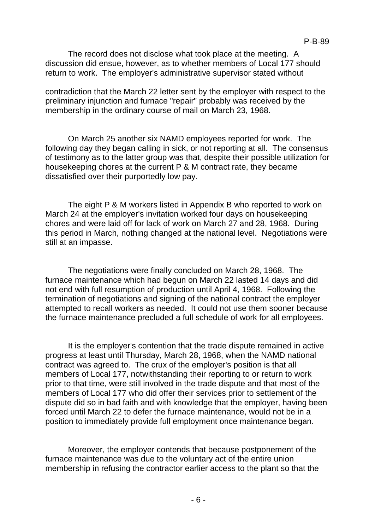The record does not disclose what took place at the meeting. A discussion did ensue, however, as to whether members of Local 177 should return to work. The employer's administrative supervisor stated without

contradiction that the March 22 letter sent by the employer with respect to the preliminary injunction and furnace "repair" probably was received by the membership in the ordinary course of mail on March 23, 1968.

On March 25 another six NAMD employees reported for work. The following day they began calling in sick, or not reporting at all. The consensus of testimony as to the latter group was that, despite their possible utilization for housekeeping chores at the current P & M contract rate, they became dissatisfied over their purportedly low pay.

The eight P & M workers listed in Appendix B who reported to work on March 24 at the employer's invitation worked four days on housekeeping chores and were laid off for lack of work on March 27 and 28, 1968. During this period in March, nothing changed at the national level. Negotiations were still at an impasse.

The negotiations were finally concluded on March 28, 1968. The furnace maintenance which had begun on March 22 lasted 14 days and did not end with full resumption of production until April 4, 1968. Following the termination of negotiations and signing of the national contract the employer attempted to recall workers as needed. It could not use them sooner because the furnace maintenance precluded a full schedule of work for all employees.

It is the employer's contention that the trade dispute remained in active progress at least until Thursday, March 28, 1968, when the NAMD national contract was agreed to. The crux of the employer's position is that all members of Local 177, notwithstanding their reporting to or return to work prior to that time, were still involved in the trade dispute and that most of the members of Local 177 who did offer their services prior to settlement of the dispute did so in bad faith and with knowledge that the employer, having been forced until March 22 to defer the furnace maintenance, would not be in a position to immediately provide full employment once maintenance began.

Moreover, the employer contends that because postponement of the furnace maintenance was due to the voluntary act of the entire union membership in refusing the contractor earlier access to the plant so that the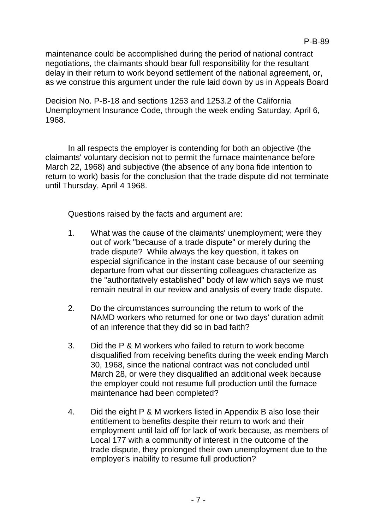maintenance could be accomplished during the period of national contract negotiations, the claimants should bear full responsibility for the resultant delay in their return to work beyond settlement of the national agreement, or, as we construe this argument under the rule laid down by us in Appeals Board

Decision No. P-B-18 and sections 1253 and 1253.2 of the California Unemployment Insurance Code, through the week ending Saturday, April 6, 1968.

In all respects the employer is contending for both an objective (the claimants' voluntary decision not to permit the furnace maintenance before March 22, 1968) and subjective (the absence of any bona fide intention to return to work) basis for the conclusion that the trade dispute did not terminate until Thursday, April 4 1968.

Questions raised by the facts and argument are:

- 1. What was the cause of the claimants' unemployment; were they out of work "because of a trade dispute" or merely during the trade dispute? While always the key question, it takes on especial significance in the instant case because of our seeming departure from what our dissenting colleagues characterize as the "authoritatively established" body of law which says we must remain neutral in our review and analysis of every trade dispute.
- 2. Do the circumstances surrounding the return to work of the NAMD workers who returned for one or two days' duration admit of an inference that they did so in bad faith?
- 3. Did the P & M workers who failed to return to work become disqualified from receiving benefits during the week ending March 30, 1968, since the national contract was not concluded until March 28, or were they disqualified an additional week because the employer could not resume full production until the furnace maintenance had been completed?
- 4. Did the eight P & M workers listed in Appendix B also lose their entitlement to benefits despite their return to work and their employment until laid off for lack of work because, as members of Local 177 with a community of interest in the outcome of the trade dispute, they prolonged their own unemployment due to the employer's inability to resume full production?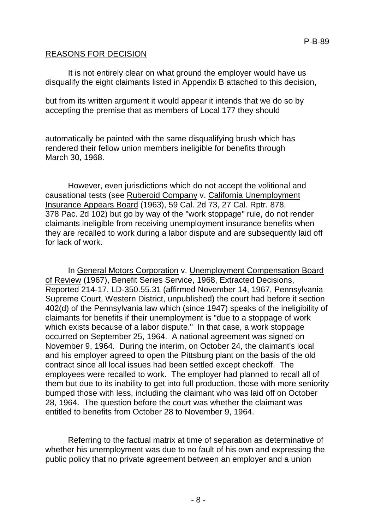### REASONS FOR DECISION

It is not entirely clear on what ground the employer would have us disqualify the eight claimants listed in Appendix B attached to this decision,

but from its written argument it would appear it intends that we do so by accepting the premise that as members of Local 177 they should

automatically be painted with the same disqualifying brush which has rendered their fellow union members ineligible for benefits through March 30, 1968.

However, even jurisdictions which do not accept the volitional and causational tests (see Ruberoid Company v. California Unemployment Insurance Appears Board (1963), 59 Cal. 2d 73, 27 Cal. Rptr. 878, 378 Pac. 2d 102) but go by way of the "work stoppage" rule, do not render claimants ineligible from receiving unemployment insurance benefits when they are recalled to work during a labor dispute and are subsequently laid off for lack of work.

In General Motors Corporation v. Unemployment Compensation Board of Review (1967), Benefit Series Service, 1968, Extracted Decisions, Reported 214-17, LD-350.55.31 (affirmed November 14, 1967, Pennsylvania Supreme Court, Western District, unpublished) the court had before it section 402(d) of the Pennsylvania law which (since 1947) speaks of the ineligibility of claimants for benefits if their unemployment is "due to a stoppage of work which exists because of a labor dispute." In that case, a work stoppage occurred on September 25, 1964. A national agreement was signed on November 9, 1964. During the interim, on October 24, the claimant's local and his employer agreed to open the Pittsburg plant on the basis of the old contract since all local issues had been settled except checkoff. The employees were recalled to work. The employer had planned to recall all of them but due to its inability to get into full production, those with more seniority bumped those with less, including the claimant who was laid off on October 28, 1964. The question before the court was whether the claimant was entitled to benefits from October 28 to November 9, 1964.

Referring to the factual matrix at time of separation as determinative of whether his unemployment was due to no fault of his own and expressing the public policy that no private agreement between an employer and a union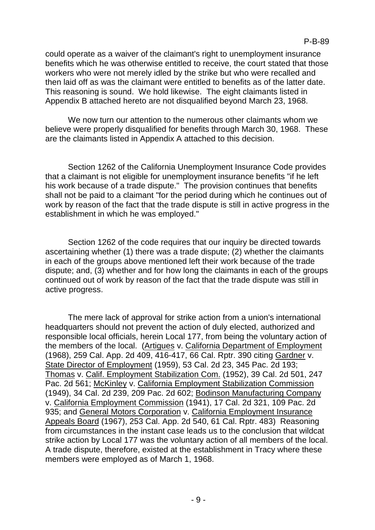could operate as a waiver of the claimant's right to unemployment insurance benefits which he was otherwise entitled to receive, the court stated that those workers who were not merely idled by the strike but who were recalled and then laid off as was the claimant were entitled to benefits as of the latter date. This reasoning is sound. We hold likewise. The eight claimants listed in Appendix B attached hereto are not disqualified beyond March 23, 1968.

We now turn our attention to the numerous other claimants whom we believe were properly disqualified for benefits through March 30, 1968. These are the claimants listed in Appendix A attached to this decision.

Section 1262 of the California Unemployment Insurance Code provides that a claimant is not eligible for unemployment insurance benefits "if he left his work because of a trade dispute." The provision continues that benefits shall not be paid to a claimant "for the period during which he continues out of work by reason of the fact that the trade dispute is still in active progress in the establishment in which he was employed."

Section 1262 of the code requires that our inquiry be directed towards ascertaining whether (1) there was a trade dispute; (2) whether the claimants in each of the groups above mentioned left their work because of the trade dispute; and, (3) whether and for how long the claimants in each of the groups continued out of work by reason of the fact that the trade dispute was still in active progress.

The mere lack of approval for strike action from a union's international headquarters should not prevent the action of duly elected, authorized and responsible local officials, herein Local 177, from being the voluntary action of the members of the local. (Artigues v. California Department of Employment (1968), 259 Cal. App. 2d 409, 416-417, 66 Cal. Rptr. 390 citing Gardner v. State Director of Employment (1959), 53 Cal. 2d 23, 345 Pac. 2d 193; Thomas v. Calif. Employment Stabilization Com. (1952), 39 Cal. 2d 501, 247 Pac. 2d 561; McKinley v. California Employment Stabilization Commission (1949), 34 Cal. 2d 239, 209 Pac. 2d 602; Bodinson Manufacturing Company v. California Employment Commission (1941), 17 Cal. 2d 321, 109 Pac. 2d 935; and General Motors Corporation v. California Employment Insurance Appeals Board (1967), 253 Cal. App. 2d 540, 61 Cal. Rptr. 483) Reasoning from circumstances in the instant case leads us to the conclusion that wildcat strike action by Local 177 was the voluntary action of all members of the local. A trade dispute, therefore, existed at the establishment in Tracy where these members were employed as of March 1, 1968.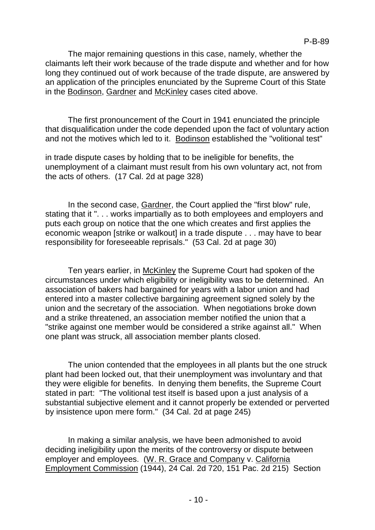The major remaining questions in this case, namely, whether the claimants left their work because of the trade dispute and whether and for how long they continued out of work because of the trade dispute, are answered by an application of the principles enunciated by the Supreme Court of this State in the Bodinson, Gardner and McKinley cases cited above.

The first pronouncement of the Court in 1941 enunciated the principle that disqualification under the code depended upon the fact of voluntary action and not the motives which led to it. Bodinson established the "volitional test"

in trade dispute cases by holding that to be ineligible for benefits, the unemployment of a claimant must result from his own voluntary act, not from the acts of others. (17 Cal. 2d at page 328)

In the second case, Gardner, the Court applied the "first blow" rule, stating that it ". . . works impartially as to both employees and employers and puts each group on notice that the one which creates and first applies the economic weapon [strike or walkout] in a trade dispute . . . may have to bear responsibility for foreseeable reprisals." (53 Cal. 2d at page 30)

Ten years earlier, in McKinley the Supreme Court had spoken of the circumstances under which eligibility or ineligibility was to be determined. An association of bakers had bargained for years with a labor union and had entered into a master collective bargaining agreement signed solely by the union and the secretary of the association. When negotiations broke down and a strike threatened, an association member notified the union that a "strike against one member would be considered a strike against all." When one plant was struck, all association member plants closed.

The union contended that the employees in all plants but the one struck plant had been locked out, that their unemployment was involuntary and that they were eligible for benefits. In denying them benefits, the Supreme Court stated in part: "The volitional test itself is based upon a just analysis of a substantial subjective element and it cannot properly be extended or perverted by insistence upon mere form." (34 Cal. 2d at page 245)

In making a similar analysis, we have been admonished to avoid deciding ineligibility upon the merits of the controversy or dispute between employer and employees. (W. R. Grace and Company v. California Employment Commission (1944), 24 Cal. 2d 720, 151 Pac. 2d 215) Section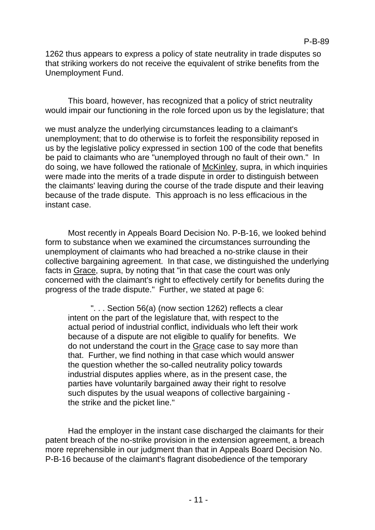1262 thus appears to express a policy of state neutrality in trade disputes so that striking workers do not receive the equivalent of strike benefits from the Unemployment Fund.

This board, however, has recognized that a policy of strict neutrality would impair our functioning in the role forced upon us by the legislature; that

we must analyze the underlying circumstances leading to a claimant's unemployment; that to do otherwise is to forfeit the responsibility reposed in us by the legislative policy expressed in section 100 of the code that benefits be paid to claimants who are "unemployed through no fault of their own." In do soing, we have followed the rationale of McKinley, supra, in which inquiries were made into the merits of a trade dispute in order to distinguish between the claimants' leaving during the course of the trade dispute and their leaving because of the trade dispute. This approach is no less efficacious in the instant case.

Most recently in Appeals Board Decision No. P-B-16, we looked behind form to substance when we examined the circumstances surrounding the unemployment of claimants who had breached a no-strike clause in their collective bargaining agreement. In that case, we distinguished the underlying facts in Grace, supra, by noting that "in that case the court was only concerned with the claimant's right to effectively certify for benefits during the progress of the trade dispute." Further, we stated at page 6:

". . . Section 56(a) (now section 1262) reflects a clear intent on the part of the legislature that, with respect to the actual period of industrial conflict, individuals who left their work because of a dispute are not eligible to qualify for benefits. We do not understand the court in the Grace case to say more than that. Further, we find nothing in that case which would answer the question whether the so-called neutrality policy towards industrial disputes applies where, as in the present case, the parties have voluntarily bargained away their right to resolve such disputes by the usual weapons of collective bargaining the strike and the picket line."

Had the employer in the instant case discharged the claimants for their patent breach of the no-strike provision in the extension agreement, a breach more reprehensible in our judgment than that in Appeals Board Decision No. P-B-16 because of the claimant's flagrant disobedience of the temporary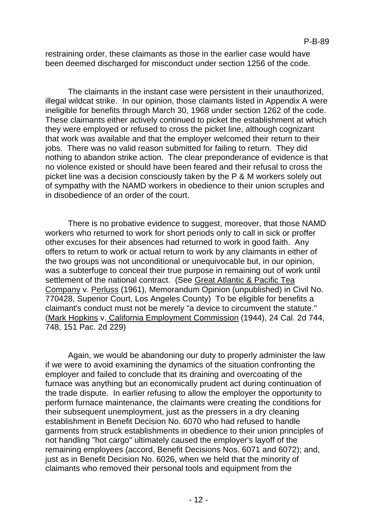restraining order, these claimants as those in the earlier case would have been deemed discharged for misconduct under section 1256 of the code.

The claimants in the instant case were persistent in their unauthorized, illegal wildcat strike. In our opinion, those claimants listed in Appendix A were ineligible for benefits through March 30, 1968 under section 1262 of the code. These claimants either actively continued to picket the establishment at which they were employed or refused to cross the picket line, although cognizant that work was available and that the employer welcomed their return to their jobs. There was no valid reason submitted for failing to return. They did nothing to abandon strike action. The clear preponderance of evidence is that no violence existed or should have been feared and their refusal to cross the picket line was a decision consciously taken by the P & M workers solely out of sympathy with the NAMD workers in obedience to their union scruples and in disobedience of an order of the court.

There is no probative evidence to suggest, moreover, that those NAMD workers who returned to work for short periods only to call in sick or proffer other excuses for their absences had returned to work in good faith. Any offers to return to work or actual return to work by any claimants in either of the two groups was not unconditional or unequivocable but, in our opinion, was a subterfuge to conceal their true purpose in remaining out of work until settlement of the national contract. (See Great Atlantic & Pacific Tea Company v. Perluss (1961), Memorandum Opinion (unpublished) in Civil No. 770428, Superior Court, Los Angeles County) To be eligible for benefits a claimant's conduct must not be merely "a device to circumvent the statute." (Mark Hopkins v. California Employment Commission (1944), 24 Cal. 2d 744, 748, 151 Pac. 2d 229)

Again, we would be abandoning our duty to properly administer the law if we were to avoid examining the dynamics of the situation confronting the employer and failed to conclude that its draining and overcoating of the furnace was anything but an economically prudent act during continuation of the trade dispute. In earlier refusing to allow the employer the opportunity to perform furnace maintenance, the claimants were creating the conditions for their subsequent unemployment, just as the pressers in a dry cleaning establishment in Benefit Decision No. 6070 who had refused to handle garments from struck establishments in obedience to their union principles of not handling "hot cargo" ultimately caused the employer's layoff of the remaining employees (accord, Benefit Decisions Nos. 6071 and 6072); and, just as in Benefit Decision No. 6026, when we held that the minority of claimants who removed their personal tools and equipment from the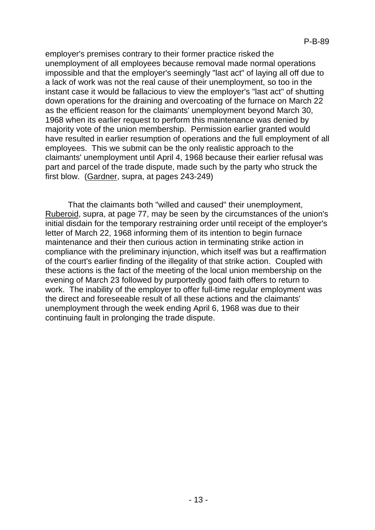employer's premises contrary to their former practice risked the unemployment of all employees because removal made normal operations impossible and that the employer's seemingly "last act" of laying all off due to a lack of work was not the real cause of their unemployment, so too in the instant case it would be fallacious to view the employer's "last act" of shutting down operations for the draining and overcoating of the furnace on March 22 as the efficient reason for the claimants' unemployment beyond March 30, 1968 when its earlier request to perform this maintenance was denied by majority vote of the union membership. Permission earlier granted would have resulted in earlier resumption of operations and the full employment of all employees. This we submit can be the only realistic approach to the claimants' unemployment until April 4, 1968 because their earlier refusal was part and parcel of the trade dispute, made such by the party who struck the first blow. (Gardner, supra, at pages 243-249)

That the claimants both "willed and caused" their unemployment, Ruberoid, supra, at page 77, may be seen by the circumstances of the union's initial disdain for the temporary restraining order until receipt of the employer's letter of March 22, 1968 informing them of its intention to begin furnace maintenance and their then curious action in terminating strike action in compliance with the preliminary injunction, which itself was but a reaffirmation of the court's earlier finding of the illegality of that strike action. Coupled with these actions is the fact of the meeting of the local union membership on the evening of March 23 followed by purportedly good faith offers to return to work. The inability of the employer to offer full-time regular employment was the direct and foreseeable result of all these actions and the claimants' unemployment through the week ending April 6, 1968 was due to their continuing fault in prolonging the trade dispute.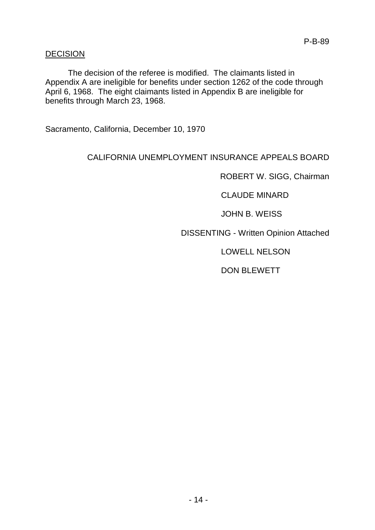### DECISION

The decision of the referee is modified. The claimants listed in Appendix A are ineligible for benefits under section 1262 of the code through April 6, 1968. The eight claimants listed in Appendix B are ineligible for benefits through March 23, 1968.

Sacramento, California, December 10, 1970

# CALIFORNIA UNEMPLOYMENT INSURANCE APPEALS BOARD

ROBERT W. SIGG, Chairman

CLAUDE MINARD

JOHN B. WEISS

DISSENTING - Written Opinion Attached

LOWELL NELSON

DON BLEWETT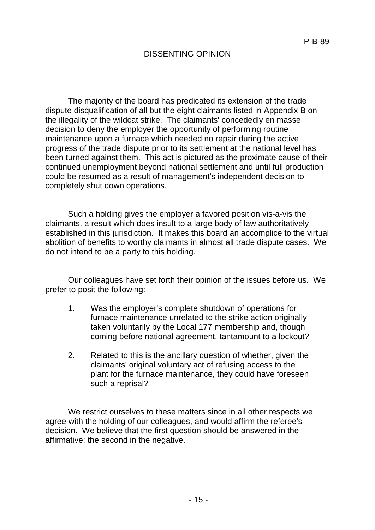## DISSENTING OPINION

The majority of the board has predicated its extension of the trade dispute disqualification of all but the eight claimants listed in Appendix B on the illegality of the wildcat strike. The claimants' concededly en masse decision to deny the employer the opportunity of performing routine maintenance upon a furnace which needed no repair during the active progress of the trade dispute prior to its settlement at the national level has been turned against them. This act is pictured as the proximate cause of their continued unemployment beyond national settlement and until full production could be resumed as a result of management's independent decision to completely shut down operations.

Such a holding gives the employer a favored position vis-a-vis the claimants, a result which does insult to a large body of law authoritatively established in this jurisdiction. It makes this board an accomplice to the virtual abolition of benefits to worthy claimants in almost all trade dispute cases. We do not intend to be a party to this holding.

Our colleagues have set forth their opinion of the issues before us. We prefer to posit the following:

- 1. Was the employer's complete shutdown of operations for furnace maintenance unrelated to the strike action originally taken voluntarily by the Local 177 membership and, though coming before national agreement, tantamount to a lockout?
- 2. Related to this is the ancillary question of whether, given the claimants' original voluntary act of refusing access to the plant for the furnace maintenance, they could have foreseen such a reprisal?

We restrict ourselves to these matters since in all other respects we agree with the holding of our colleagues, and would affirm the referee's decision. We believe that the first question should be answered in the affirmative; the second in the negative.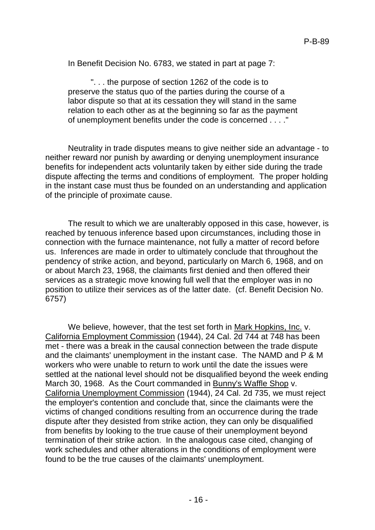In Benefit Decision No. 6783, we stated in part at page 7:

". . . the purpose of section 1262 of the code is to preserve the status quo of the parties during the course of a labor dispute so that at its cessation they will stand in the same relation to each other as at the beginning so far as the payment of unemployment benefits under the code is concerned . . . ."

Neutrality in trade disputes means to give neither side an advantage - to neither reward nor punish by awarding or denying unemployment insurance benefits for independent acts voluntarily taken by either side during the trade dispute affecting the terms and conditions of employment. The proper holding in the instant case must thus be founded on an understanding and application of the principle of proximate cause.

The result to which we are unalterably opposed in this case, however, is reached by tenuous inference based upon circumstances, including those in connection with the furnace maintenance, not fully a matter of record before us. Inferences are made in order to ultimately conclude that throughout the pendency of strike action, and beyond, particularly on March 6, 1968, and on or about March 23, 1968, the claimants first denied and then offered their services as a strategic move knowing full well that the employer was in no position to utilize their services as of the latter date. (cf. Benefit Decision No. 6757)

We believe, however, that the test set forth in Mark Hopkins, Inc. v. California Employment Commission (1944), 24 Cal. 2d 744 at 748 has been met - there was a break in the causal connection between the trade dispute and the claimants' unemployment in the instant case. The NAMD and P & M workers who were unable to return to work until the date the issues were settled at the national level should not be disqualified beyond the week ending March 30, 1968. As the Court commanded in Bunny's Waffle Shop v. California Unemployment Commission (1944), 24 Cal. 2d 735, we must reject the employer's contention and conclude that, since the claimants were the victims of changed conditions resulting from an occurrence during the trade dispute after they desisted from strike action, they can only be disqualified from benefits by looking to the true cause of their unemployment beyond termination of their strike action. In the analogous case cited, changing of work schedules and other alterations in the conditions of employment were found to be the true causes of the claimants' unemployment.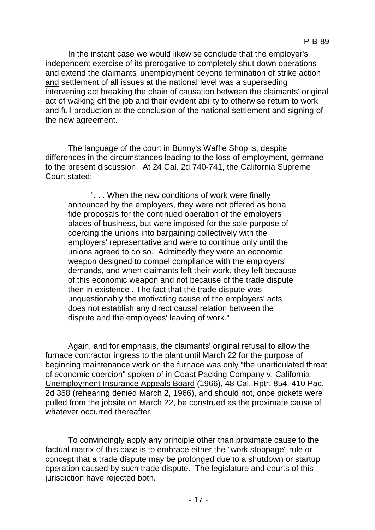In the instant case we would likewise conclude that the employer's independent exercise of its prerogative to completely shut down operations and extend the claimants' unemployment beyond termination of strike action and settlement of all issues at the national level was a superseding intervening act breaking the chain of causation between the claimants' original act of walking off the job and their evident ability to otherwise return to work and full production at the conclusion of the national settlement and signing of the new agreement.

The language of the court in Bunny's Waffle Shop is, despite differences in the circumstances leading to the loss of employment, germane to the present discussion. At 24 Cal. 2d 740-741, the California Supreme Court stated:

". . . When the new conditions of work were finally announced by the employers, they were not offered as bona fide proposals for the continued operation of the employers' places of business, but were imposed for the sole purpose of coercing the unions into bargaining collectively with the employers' representative and were to continue only until the unions agreed to do so. Admittedly they were an economic weapon designed to compel compliance with the employers' demands, and when claimants left their work, they left because of this economic weapon and not because of the trade dispute then in existence . The fact that the trade dispute was unquestionably the motivating cause of the employers' acts does not establish any direct causal relation between the dispute and the employees' leaving of work."

Again, and for emphasis, the claimants' original refusal to allow the furnace contractor ingress to the plant until March 22 for the purpose of beginning maintenance work on the furnace was only "the unarticulated threat of economic coercion" spoken of in Coast Packing Company v. California Unemployment Insurance Appeals Board (1966), 48 Cal. Rptr. 854, 410 Pac. 2d 358 (rehearing denied March 2, 1966), and should not, once pickets were pulled from the jobsite on March 22, be construed as the proximate cause of whatever occurred thereafter.

To convincingly apply any principle other than proximate cause to the factual matrix of this case is to embrace either the "work stoppage" rule or concept that a trade dispute may be prolonged due to a shutdown or startup operation caused by such trade dispute. The legislature and courts of this jurisdiction have rejected both.